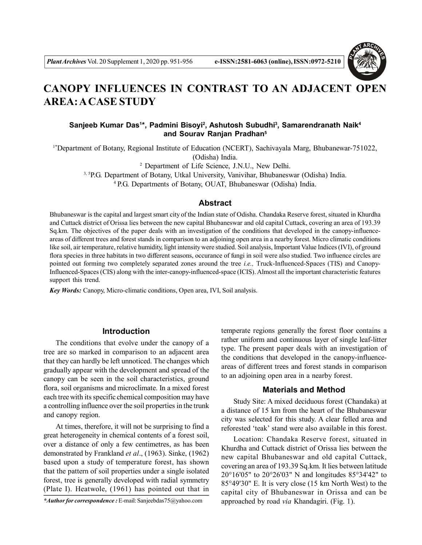

# **CANOPY INFLUENCES IN CONTRAST TO AN ADJACENT OPEN AREA: A CASE STUDY**

## **Sanjeeb Kumar Das<sup>1</sup> \*, Padmini Bisoyi<sup>2</sup> , Ashutosh Subudhi<sup>3</sup> , Samarendranath Naik<sup>4</sup> and Sourav Ranjan Pradhan<sup>5</sup>**

1\*Department of Botany, Regional Institute of Education (NCERT), Sachivayala Marg, Bhubanewar-751022, (Odisha) India.

2 Department of Life Science, J.N.U., New Delhi.

3, 5P.G. Department of Botany, Utkal University, Vanivihar, Bhubaneswar (Odisha) India.

<sup>4</sup>P.G. Departments of Botany, OUAT, Bhubaneswar (Odisha) India.

#### **Abstract**

Bhubaneswar is the capital and largest smart city of the Indian state of Odisha. Chandaka Reserve forest, situated in Khurdha and Cuttack district of Orissa lies between the new capital Bhubaneswar and old capital Cuttack, covering an area of 193.39 Sq.km. The objectives of the paper deals with an investigation of the conditions that developed in the canopy-influenceareas of different trees and forest stands in comparison to an adjoining open area in a nearby forest. Micro climatic conditions like soil, air temperature, relative humidity, light intensity were studied. Soil analysis, Important Value Indices (IVI), of ground flora species in three habitats in two different seasons, occurance of fungi in soil were also studied. Two influence circles are pointed out forming two completely separated zones around the tree *i.e.,* Truck-Influenced-Spaces (TIS) and Canopy-Influenced-Spaces (CIS) along with the inter-canopy-influenced-space (ICIS). Almost all the important characteristic features support this trend.

*Key Words:* Canopy, Micro-climatic conditions, Open area, IVI, Soil analysis.

#### **Introduction**

The conditions that evolve under the canopy of a tree are so marked in comparison to an adjacent area that they can hardly be left unnoticed. The changes which gradually appear with the development and spread of the canopy can be seen in the soil characteristics, ground flora, soil organisms and microclimate. In a mixed forest each tree with its specific chemical composition may have a controlling influence over the soil properties in the trunk and canopy region.

At times, therefore, it will not be surprising to find a great heterogeneity in chemical contents of a forest soil, over a distance of only a few centimetres, as has been demonstrated by Frankland *et al*., (1963). Sinke, (1962) based upon a study of temperature forest, has shown that the pattern of soil properties under a single isolated forest, tree is generally developed with radial symmetry (Plate I). Heatwole, (1961) has pointed out that in

*\*Author for correspondence :* E-mail: Sanjeebdas75@yahoo.com

temperate regions generally the forest floor contains a rather uniform and continuous layer of single leaf-litter type. The present paper deals with an investigation of the conditions that developed in the canopy-influenceareas of different trees and forest stands in comparison to an adjoining open area in a nearby forest.

## **Materials and Method**

Study Site: A mixed deciduous forest (Chandaka) at a distance of 15 km from the heart of the Bhubaneswar city was selected for this study. A clear felled area and reforested 'teak' stand were also available in this forest.

Location: Chandaka Reserve forest, situated in Khurdha and Cuttack district of Orissa lies between the new capital Bhubaneswar and old capital Cuttack, covering an area of 193.39 Sq.km. It lies between latitude 20°16'05" to 20°26'03" N and longitudes 85°34'42" to 85°49'30" E. It is very close (15 km North West) to the capital city of Bhubaneswar in Orissa and can be approached by road *via* Khandagiri. (Fig. 1).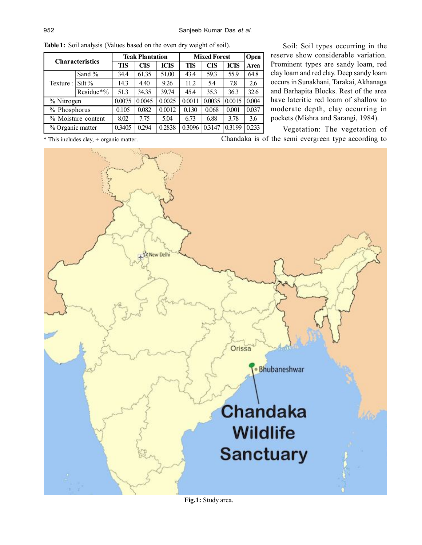| <b>Characteristics</b> |           | <b>Teak Plantation</b> |            |             | <b>Mixed Forest</b> | Open       |             |       |
|------------------------|-----------|------------------------|------------|-------------|---------------------|------------|-------------|-------|
|                        |           | TIS                    | <b>CIS</b> | <b>ICIS</b> | <b>TIS</b>          | <b>CIS</b> | <b>ICIS</b> | Area  |
| Texture :              | Sand $%$  | 34.4                   | 61.35      | 51.00       | 43.4                | 59.3       | 55.9        | 64.8  |
|                        | $Silt\%$  | 14.3                   | 4.40       | 9.26        | 11.2                | 5.4        | 7.8         | 2.6   |
|                        | Residue*% | 51.3                   | 34.35      | 39.74       | 45.4                | 35.3       | 36.3        | 32.6  |
| % Nitrogen             |           | 0.0075                 | 0.0045     | 0.0025      | 0.0011              | 0.0035     | 0.0015      | 0.004 |
| % Phosphorus           |           | 0.105                  | 0.082      | 0.0012      | 0.130               | 0.068      | 0.001       | 0.037 |
| % Moisture content     |           | 8.02                   | 7.75       | 5.04        | 6.73                | 6.88       | 3.78        | 3.6   |
| % Organic matter       |           | 0.3405                 | 0.294      | 0.2838      | 0.3096              | 0.3147     | 0.3199      | 0.233 |

Soil: Soil types occurring in the reserve show considerable variation. Prominent types are sandy loam, red clay loam and red clay. Deep sandy loam occurs in Sunakhani, Tarakai, Akhanaga and Barhapita Blocks. Rest of the area have lateritic red loam of shallow to moderate depth, clay occurring in pockets (Mishra and Sarangi, 1984).

Chandaka is of the semi evergreen type according to Vegetation: The vegetation of



**Table 1:** Soil analysis (Values based on the oven dry weight of soil).

**Fig.1:** Study area.

\* This includes clay, + organic matter.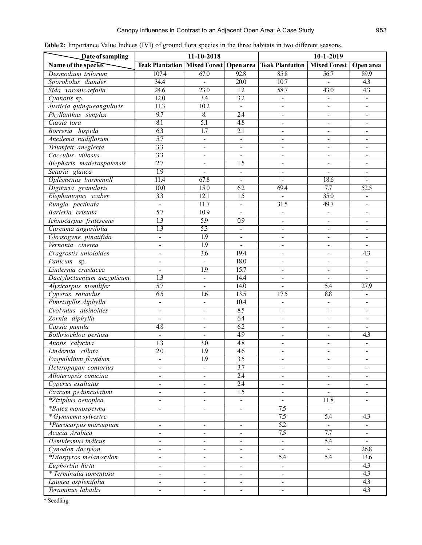| Date of sampling           |                                       | $11 - 10 - 2018$  |                   | $10-1-2019$                        |                     |                              |  |
|----------------------------|---------------------------------------|-------------------|-------------------|------------------------------------|---------------------|------------------------------|--|
| Name of the species        | <b>Teak Plantation   Mixed Forest</b> |                   |                   | <b>Open area</b>   Teak Plantation | <b>Mixed Forest</b> | Open area                    |  |
| Desmodium trilorum         | 107.4                                 | 67.0              | 92.8              | 85.8                               | 56.7                | 89.9                         |  |
| Sporobolus diander         | 34.4                                  | $\mathbf{r}$      | $\overline{20.0}$ | 10.7                               | $\blacksquare$      | $\overline{4.3}$             |  |
| Sida varonicaefolia        | $\overline{24.6}$                     | $\overline{23.0}$ | $\overline{1.2}$  | 58.7                               | 43.0                | $\overline{4.3}$             |  |
| Cyanotis sp.               | 12.0                                  | $\overline{3.4}$  | $\overline{3.2}$  | $\mathbf{r}$                       | $\blacksquare$      | $\blacksquare$               |  |
| Justicia quinqueangularis  | $\overline{11.3}$                     | 10.2              | $\blacksquare$    | $\blacksquare$                     | $\blacksquare$      | $\blacksquare$               |  |
| Phyllanthus simplex        | 9.7                                   | $\overline{8}$ .  | $\overline{2.4}$  | $\blacksquare$                     | $\blacksquare$      | $\blacksquare$               |  |
| Cassia tora                | $\overline{8.1}$                      | $\overline{5.1}$  | $\overline{4.8}$  | $\blacksquare$                     | $\blacksquare$      | $\blacksquare$               |  |
| Borreria hispida           | $\overline{6.3}$                      | $\overline{1.7}$  | $\overline{2.1}$  | $\blacksquare$                     | $\blacksquare$      | $\blacksquare$               |  |
| Aneilema nudiflorum        | $\overline{5.7}$                      | $\blacksquare$    | $\blacksquare$    | $\blacksquare$                     | $\blacksquare$      | $\blacksquare$               |  |
| Triumfett aneglecta        | $\overline{3.3}$                      | $\blacksquare$    | $\blacksquare$    | $\blacksquare$                     | $\blacksquare$      | $\blacksquare$               |  |
| Cocculus villosus          | $\overline{3.3}$                      | $\blacksquare$    | $\blacksquare$    | $\blacksquare$                     | $\blacksquare$      | $\blacksquare$               |  |
| Blepharis maderaspatensis  | $\overline{2.7}$                      | $\Box$            | $\overline{1.5}$  | $\blacksquare$                     | $\blacksquare$      | $\blacksquare$               |  |
| Setaria glauca             | $\overline{1.9}$                      | $\Box$            | $\blacksquare$    | $\blacksquare$                     | $\blacksquare$      | $\blacksquare$               |  |
| Oplismenus burmennll       | 11.4                                  | 67.8              | $\blacksquare$    | $\blacksquare$                     | 18.6                |                              |  |
| Digitaria granularis       | 10.0                                  | 15.0              | 6.2               | 69.4                               | 7.7                 | 52.5                         |  |
| Elephantopus scaber        | $\overline{3.3}$                      | 12.1              | 1.5               | $\blacksquare$                     | $\frac{35.0}{ }$    | $\blacksquare$               |  |
| Rungia pectinata           | $\blacksquare$                        | 11.7              | $\blacksquare$    | $\overline{31.5}$                  | 49.7                | $\frac{1}{2}$                |  |
| Barleria cristata          | $\overline{5.7}$                      | 10.9              | $\blacksquare$    | $\blacksquare$                     | $\blacksquare$      | $\blacksquare$               |  |
| Ichnocarpus frutescens     | $\overline{1.3}$                      | 5.9               | $\overline{0.9}$  |                                    | $\blacksquare$      | $\overline{\phantom{a}}$     |  |
| Curcuma angusifolia        | $\overline{1.3}$                      | $\overline{5.3}$  | $\blacksquare$    | $\blacksquare$                     |                     | $\blacksquare$               |  |
| Glossogyne pinatifida      | $\qquad \qquad \blacksquare$          | $\overline{1.9}$  | $\blacksquare$    |                                    |                     | $\qquad \qquad \blacksquare$ |  |
| Vernonia cinerea           | $\qquad \qquad \blacksquare$          | $\overline{1.9}$  | $\equiv$          |                                    |                     | $\blacksquare$               |  |
| Eragrostis unioloides      | $\overline{a}$                        | $\overline{3.6}$  | 19.4              | $\overline{a}$                     | ÷,                  | $\overline{4.3}$             |  |
| Panicum sp.                | $\overline{a}$                        | $\omega$          | 18.0              | $\bar{\phantom{a}}$                | $\frac{1}{2}$       | $\blacksquare$               |  |
| Lindernia crustacea        | $\Box$                                | $\overline{1.9}$  | 15.7              | $\overline{a}$                     | $\blacksquare$      | $\blacksquare$               |  |
| Dactyloctaenium aezypticum | $\overline{1.3}$                      | $\blacksquare$    | 14.4              | $\blacksquare$                     | $\blacksquare$      |                              |  |
| Alysicarpus monilifer      | $\overline{5.7}$                      | $\blacksquare$    | 14.0              | $\blacksquare$                     | $\overline{5.4}$    | 27.9                         |  |
| Cyperus rotundus           | $\overline{6.5}$                      | 1.6               | 13.5              | 17.5                               | 8.8                 | $\blacksquare$               |  |
| Fimristyllis diphylla      | $\blacksquare$                        | $\blacksquare$    | 10.4              | $\blacksquare$                     | $\blacksquare$      | $\blacksquare$               |  |
| Evolvulus alsinoides       | $\blacksquare$                        | $\blacksquare$    | 8.5               | $\blacksquare$                     | $\blacksquare$      | $\overline{\phantom{a}}$     |  |
| Zornia diphylla            | $\blacksquare$                        | $\blacksquare$    | 64                | $\blacksquare$                     | $\blacksquare$      | $\blacksquare$               |  |
| Cassia pumila              | $\overline{4.8}$                      | $\blacksquare$    | $\overline{6.2}$  | $\blacksquare$                     | $\blacksquare$      | $\blacksquare$               |  |
| Bothriochloa pertusa       | $\Box$                                | $\frac{1}{2}$     | $\overline{4.9}$  | $\overline{a}$                     | $\blacksquare$      | $\overline{4.3}$             |  |
| Anotis calycina            | $\overline{1.3}$                      | $\overline{3.0}$  | 4.8               | $\blacksquare$                     | $\blacksquare$      | $\blacksquare$               |  |
| Lindernia cillata          | $\overline{2.0}$                      | $\overline{1.9}$  | $\overline{4.6}$  | $\blacksquare$                     | ÷,                  | $\overline{a}$               |  |
| Paspalidium flavidum       |                                       | $\overline{1.9}$  | $\overline{3.5}$  |                                    |                     |                              |  |
| Heteropagan contorius      | -                                     |                   | $\overline{3.7}$  |                                    |                     |                              |  |
| Alloteropsis cimicina      | $\qquad \qquad \blacksquare$          | $\blacksquare$    | 2.4               | $\blacksquare$                     |                     |                              |  |
| Cyperus exaltatus          | $\blacksquare$                        | $\blacksquare$    | 2.4               | $\blacksquare$                     | $\blacksquare$      |                              |  |
| Exacum pedunculatum        | $\overline{\phantom{a}}$              | $\blacksquare$    | $\overline{1.5}$  | $\blacksquare$                     |                     |                              |  |
| *Ziziphus oenoplea         |                                       |                   |                   |                                    | 11.8                |                              |  |
| *Butea monosperma          |                                       |                   |                   | $\overline{7.5}$                   |                     |                              |  |
| * Gymnema sylvestre        |                                       |                   |                   | 7.5                                | 5.4                 | 4.3                          |  |
| *Pterocarpus marsupium     | $\blacksquare$                        | $\blacksquare$    | $\blacksquare$    | $\overline{5.2}$                   | $\blacksquare$      | $\blacksquare$               |  |
| Acacia Arabica             | $\frac{1}{2}$                         | $\blacksquare$    | $\blacksquare$    | $\overline{7.5}$                   | $\overline{7.7}$    | $\blacksquare$               |  |
| Hemidesmus indicus         | $\frac{1}{2}$                         |                   |                   | $\blacksquare$                     | $\overline{5.4}$    | $\mathbf{r}$                 |  |
| Cynodon dactylon           | $\blacksquare$                        | $\blacksquare$    | $\blacksquare$    | $\mathbf{r}$                       | $\blacksquare$      | 26.8                         |  |
| *Diospyros melanoxylon     | $\qquad \qquad \blacksquare$          | $\blacksquare$    | $\blacksquare$    | $\overline{5.4}$                   | $\overline{5.4}$    | $\overline{13.6}$            |  |
| Euphorbia hirta            | $\blacksquare$                        | $\blacksquare$    | $\blacksquare$    | $\blacksquare$                     |                     | $\overline{4.3}$             |  |
| * Terminalia tomentosa     | $\blacksquare$                        | $\blacksquare$    | $\blacksquare$    | $\blacksquare$                     |                     | $\overline{4.3}$             |  |
| Launea asplenifolia        | $\blacksquare$                        | $\blacksquare$    | $\blacksquare$    | $\blacksquare$                     |                     | $\overline{4.3}$             |  |
| Teraminus labailis         |                                       | $\blacksquare$    | $\blacksquare$    | $\blacksquare$                     |                     | 4.3                          |  |
|                            |                                       |                   |                   |                                    |                     |                              |  |

**Table 2:** Importance Value Indices (IVI) of ground flora species in the three habitats in two different seasons.

\* Seedling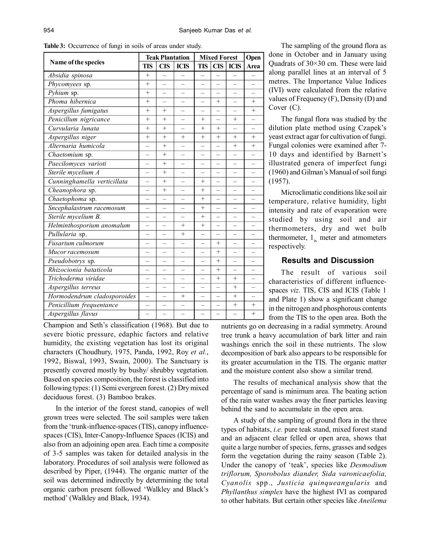| Name of the species         |                          | <b>Teak Plantation</b>   |                          | <b>Mixed Forest</b> |                          |             | Open                     |
|-----------------------------|--------------------------|--------------------------|--------------------------|---------------------|--------------------------|-------------|--------------------------|
|                             |                          | <b>CIS</b>               | <b>ICIS</b>              | <b>TIS</b>          | <b>CIS</b>               | <b>ICIS</b> | Area                     |
| Absidia spinosa             | $^{+}$                   |                          |                          |                     |                          |             |                          |
| Phycomyees sp.              | $^{+}$                   |                          |                          |                     |                          |             |                          |
| $\overline{Pyhium}$ sp.     | $^{+}$                   |                          |                          |                     |                          |             |                          |
| Phoma hibernica             | $^{+}$                   |                          |                          |                     | $^{+}$                   |             | $+$                      |
| Aspergillus fumigatus       | $^{+}$                   | $+$                      |                          |                     |                          |             | $^{+}$                   |
| Penicillum nigricance       | $^{+}$                   | $^{+}$                   |                          | $^{+}$              |                          | $^{+}$      |                          |
| Curvularia lunata           | $^{+}$                   | $+$                      |                          | $^{+}$              | $+$                      |             |                          |
| Aspergillus niger           | $^{+}$                   | $+$                      | $^{+}$                   | $^{+}$              | $^{+}$                   | $^{+}$      | $+$                      |
| Alternaria humicola         |                          | $+$                      |                          |                     | $\overline{\phantom{0}}$ | $^{+}$      | $^{+}$                   |
| Chaetomium sp.              |                          | $+$                      |                          |                     | $\equiv$                 |             |                          |
| Paecilomyces varioti        |                          | $+$                      |                          |                     | $\overline{\phantom{0}}$ |             |                          |
| Sterile mycelium A          |                          | $+$                      |                          |                     | $\overline{\phantom{0}}$ |             |                          |
| Cunninghamella verticillata |                          | $^{+}$                   | $\overline{\phantom{0}}$ | $^{+}$              | $\overline{\phantom{0}}$ |             |                          |
| Cheanophora sp.             |                          | $^{+}$                   |                          | $^{+}$              |                          |             |                          |
| Chaetophoma sp.             |                          |                          |                          | $^{+}$              |                          |             |                          |
| Sncephalastrum racemosum    |                          |                          |                          | $^+$                | $\overline{\phantom{0}}$ |             |                          |
| Sterile mycelium B.         | $\overline{\phantom{0}}$ | $\overline{\phantom{0}}$ | $\overline{\phantom{0}}$ | $+$                 | $\overline{\phantom{0}}$ |             |                          |
| Helminthosporium anomalum   |                          |                          | $^{+}$                   | $^{+}$              |                          |             |                          |
| Pullularia sp.              |                          |                          | $+$                      |                     |                          |             |                          |
| Fusarium culmorum           |                          |                          |                          |                     | $^{+}$                   |             |                          |
| Mucor racemosum             |                          |                          |                          |                     | $+$                      |             |                          |
| Pseudobotrys sp.            |                          |                          |                          |                     | $+$                      |             |                          |
| Rhizocionia bataticola      |                          |                          |                          |                     | $^{+}$                   |             |                          |
| Trichoderma viridae         |                          |                          |                          |                     | $^{+}$                   | $^{+}$      |                          |
| Aspergillus terreus         | $\equiv$                 | $\equiv$                 |                          |                     | $\overline{\phantom{0}}$ | $^{+}$      | $\overline{\phantom{0}}$ |
| Hormodendrum cladosporoides | $\overline{\phantom{0}}$ |                          | $^{+}$                   |                     |                          | $+$         |                          |
| Penicillium frequentance    |                          |                          |                          |                     |                          | $+$         | $+$                      |
| Aspergillus flavus          |                          | L,                       | L,                       |                     |                          |             | $^{+}$                   |

**Table 3:** Occurrence of fungi in soils of areas under study.

Champion and Seth's classification (1968). But due to severe biotic pressure, edaphic factors and relative humidity, the existing vegetation has lost its original characters (Choudhury, 1975, Panda, 1992, Roy *et al.*, 1992, Biswal, 1993, Swain, 2000). The Sanctuary is presently covered mostly by bushy/ shrubby vegetation. Based on species composition, the forest is classified into following types: (1) Semi evergreen forest. (2) Dry mixed deciduous forest. (3) Bamboo brakes.

In the interior of the forest stand, canopies of well grown trees were selected. The soil samples were taken from the 'trunk-influence-spaces (TIS), canopy influencespaces (CIS), Inter-Canopy-Influence Spaces (ICIS) and also from an adjoining open area. Each time a composite of 3-5 samples was taken for detailed analysis in the laboratory. Procedures of soil analysis were followed as described by Piper, (1944). The organic matter of the soil was determined indirectly by determining the total organic carbon present followed 'Walkley and Black's method' (Walkley and Black, 1934).

The sampling of the ground flora as done in October and in January using Quadrats of 30×30 cm. These were laid along parallel lines at an interval of 5 metres. The Importance Value Indices (IVI) were calculated from the relative values of Frequency (F), Density (D) and Cover (C).

The fungal flora was studied by the dilution plate method using Czapek's yeast extract agar for cultivation of fungi. Fungal colonies were examined after 7- 10 days and identified by Barnett's illustrated genera of imperfect fungi (1960) and Gilman's Manual of soil fungi (1957).

Microclimatic conditions like soil air temperature, relative humidity, light intensity and rate of evaporation were studied by using soil and air thermometers, dry and wet bulb thermometer,  $1_{i_x}$  meter and atmometers respectively.

### **Results and Discussion**

The result of various soil characteristics of different influencespaces *viz*. TIS, CIS and ICIS (Table 1 and Plate 1) show a significant change in the nitrogen and phosphorous contents from the TIS to the open area. Both the

nutrients go on decreasing in a radial symmetry. Around tree trunk a heavy accumulation of bark litter and rain washings enrich the soil in these nutrients. The slow decomposition of bark also appears to be responsible for its greater accumulation in the TIS. The organic matter and the moisture content also show a similar trend.

The results of mechanical analysis show that the percentage of sand is minimum area. The beating action of the rain water washes away the finer particles leaving behind the sand to accumulate in the open area.

A study of the sampling of ground flora in the three types of habitats, *i.e.* pure teak stand, mixed forest stand and an adjacent clear felled or open area, shows that quite a large number of species, ferns, grasses and sedges form the vegetation during the rainy season (Table 2). Under the canopy of 'teak', species like *Desmodium triflorum, Sporobolus diander, Sida varonicaefolia, Cyanolis* spp., *Justicia quinqueangularis* and *Phyllanthus simplex* have the highest IVI as compared to other habitats. But certain other species like *Aneilema*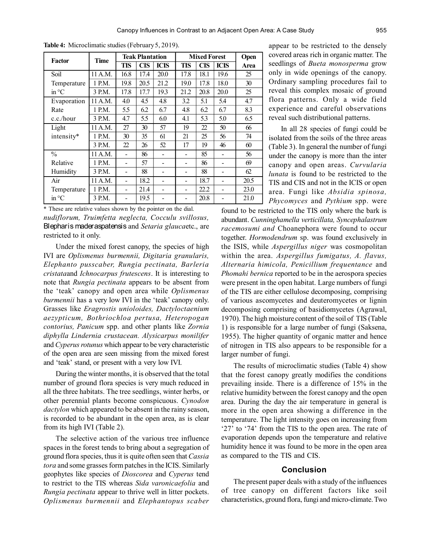| <b>Factor</b>   | <b>Time</b> | <b>Teak Plantation</b> |            |             | <b>Mixed Forest</b> |            |             | Open |
|-----------------|-------------|------------------------|------------|-------------|---------------------|------------|-------------|------|
|                 |             | TIS                    | <b>CIS</b> | <b>ICIS</b> | TIS                 | <b>CIS</b> | <b>ICIS</b> | Area |
| Soil            | 11 A.M.     | 16.8                   | 17.4       | 20.0        | 17.8                | 18.1       | 19.6        | 25   |
| Temperature     | 1 P.M.      | 19.8                   | 20.5       | 21.2        | 19.0                | 17.8       | 18.0        | 30   |
| in $\mathrm{C}$ | 3 P.M.      | 17.8                   | 17.7       | 19.3        | 21.2                | 20.8       | 20.0        | 25   |
| Evaporation     | 11 A.M.     | 4.0                    | 4.5        | 4.8         | 3.2                 | 5.1        | 5.4         | 4.7  |
| Rate            | 1 P.M.      | 5.5                    | 6.2        | 6.7         | 4.8                 | 6.2        | 6.7         | 8.3  |
| c.c./hour       | 3 P.M.      | 4.7                    | 5.5        | 6.0         | 4.1                 | 5.3        | 5.0         | 6.5  |
| Light           | 11 A.M.     | 27                     | 30         | 57          | 19                  | 22         | 50          | 66   |
| intensity*      | 1 P.M.      | 30                     | 35         | 61          | 21                  | 25         | 56          | 74   |
|                 | 3 P.M.      | 22                     | 26         | 52          | 17                  | 19         | 46          | 60   |
| $\frac{0}{0}$   | 11 A.M.     |                        | 86         |             |                     | 85         |             | 56   |
| Relative        | 1 P.M.      |                        | 57         |             |                     | 86         |             | 69   |
| Humidity        | 3 P.M.      |                        | 88         |             |                     | 88         |             | 62   |
| Air             | 11 A.M.     |                        | 18.2       |             |                     | 18.7       |             | 20.5 |
| Temperature     | 1 P.M.      |                        | 21.4       |             |                     | 22.2       |             | 23.0 |
| in °C           | 3 P.M.      |                        | 19.5       |             |                     | 20.8       |             | 21.0 |

**Table 4:** Microclimatic studies (February 5, 2019).

*nudiflorum, Truimfetta neglecta, Cocculu svillosus,* Blepharis maderaspatensis and *Setaria glauca*etc., are restricted to it only. \* These are relative values shown by the pointer on the dial. found to be restricted to the TIS only where the bark is

Under the mixed forest canopy, the species of high IVI are *Oplismenus burmennii, Digitaria granularis, Elephanto pusscaber, Rungia pectinata, Barleria cristata*and *Ichnocarpus frutescens*. It is interesting to note that *Rungia pectinata* appears to be absent from the 'teak' canopy and open area while *Oplismenus burmennii* has a very low IVI in the 'teak' canopy only. Grasses like *Eragrostis unioloides, Dactyloctaenium aezypticum, Bothriochloa pertusa, Heteropogan contorius, Panicum* spp. and other plants like *Zornia diphylla Lindernia crustacean. Alysicarpus monilifer* and *Cyperus rotunus* which appear to be very characteristic of the open area are seen missing from the mixed forest and 'teak' stand, or present with a very low IVI.

During the winter months, it is observed that the total number of ground flora species is very much reduced in all the three habitats. The tree seedlings, winter herbs, or other perennial plants become conspicuous. *Cynodon dactylon* which appeared to be absent in the rainy season, is recorded to be abundant in the open area, as is clear from its high IVI (Table 2).

The selective action of the various tree influence spaces in the forest tends to bring about a segregation of ground flora species, thus it is quite often seen that *Cassia tora* and some grasses form patches in the ICIS. Similarly geophytes like species of *Dioscorea* and *Cyperus* tend to restrict to the TIS whereas *Sida varonicaefolia* and *Rungia pectinata* appear to thrive well in litter pockets. *Oplismenus burmennii* and *Elephantopus scaber*

appear to be restricted to the densely covered areas rich in organic matter. The seedlings of *Bueta monosperma* grow only in wide openings of the canopy. Ordinary sampling procedures fail to reveal this complex mosaic of ground flora patterns. Only a wide field experience and careful observations reveal such distributional patterns.

In all 28 species of fungi could be isolated from the soils of the three areas (Table 3). In general the number of fungi under the canopy is more than the inter canopy and open areas. *Curvularia lunata* is found to be restricted to the TIS and CIS and not in the ICIS or open area. Fungi like *Absidia spinosa, Phycomyces* and *Pythium* spp. were

abundant. *Cunninghamella verticillata, Syncephalastrum racemosumi and* Choanephora were found to occur together. *Hormodendrum* sp. was found exclusively in the ISIS, while *Aspergillus niger* was cosmopolitan within the area. *Aspergillus fumigatus, A. flavus, Alternaria himicola, Penicillium frequentance* and *Phomahi bernica* reported to be in the aerospora species were present in the open habitat. Large numbers of fungi of the TIS are either cellulose decomposing, comprising of various ascomycetes and deuteromycetes or lignin decomposing comprising of basidiomycetes (Agrawal, 1970). The high moisture content of the soil of TIS (Table 1) is responsible for a large number of fungi (Saksena, 1955). The higher quantity of organic matter and hence of nitrogen in TIS also appears to be responsible for a larger number of fungi.

The results of microclimatic studies (Table 4) show that the forest canopy greatly modifies the conditions prevailing inside. There is a difference of 15% in the relative humidity between the forest canopy and the open area. During the day the air temperature in general is more in the open area showing a difference in the temperature. The light intensity goes on increasing from '27' to '74' from the TIS to the open area. The rate of evaporation depends upon the temperature and relative humidity hence it was found to be more in the open area as compared to the TIS and CIS.

## **Conclusion**

The present paper deals with a study of the influences of tree canopy on different factors like soil characteristics, ground flora, fungi and micro-climate. Two